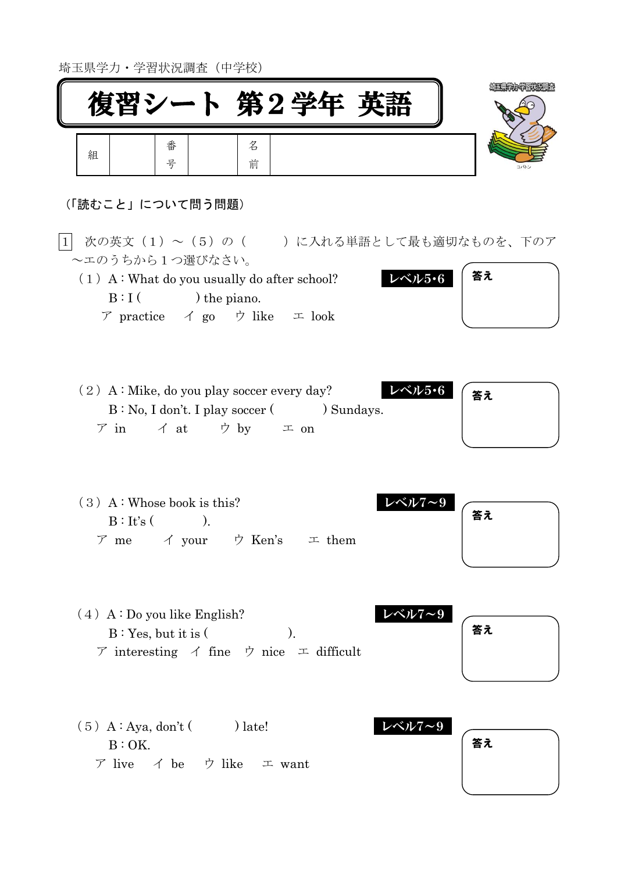埼玉県学力・学習状況調査(中学校)

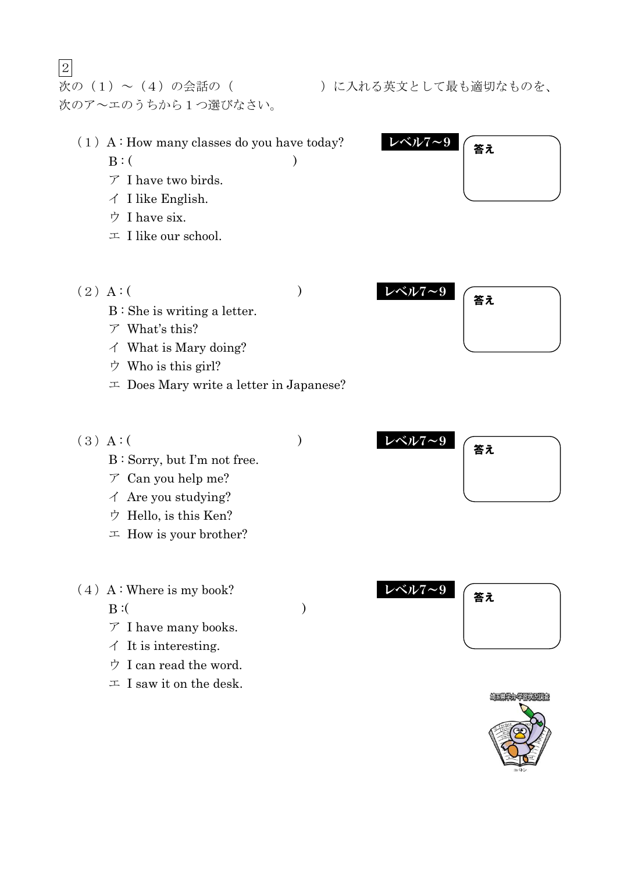2 次のア~エのうちから1つ選びなさい。

- (1) A: How many classes do you have today?  $\nu \sim \nu$  $B: ($ 
	- ア I have two birds.
	- イ I like English.
	- ウ I have six.
	- エ I like our school.

次の(1)~(4)の会話の( )に入れる英文として最も適切なものを、



答え

(2) A : ( )  $L \times L7 \sim 9$ 

- B : She is writing a letter.
- ア What's this?
- イ What is Mary doing?
- ウ Who is this girl?
- エ Does Mary write a letter in Japanese?
- 

- B : Sorry, but I'm not free.
- ア Can you help me?
- イ Are you studying?
- ウ Hello, is this Ken?
- $\perp$  How is your brother?
- (4) A: Where is my book?  $\nu \sim \nu 7 \sim 9$  $\mathbf{B}$  : ( )
	- ア I have many books.
	- $\checkmark$  It is interesting.
	- ウ I can read the word.
	- $\perp$  I saw it on the desk.